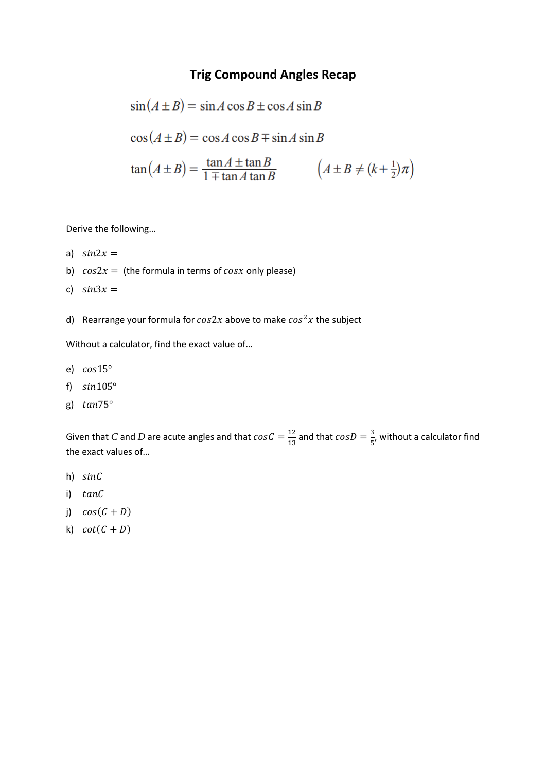## **Trig Compound Angles Recap**

$$
\sin(A \pm B) = \sin A \cos B \pm \cos A \sin B
$$
  
\n
$$
\cos(A \pm B) = \cos A \cos B \mp \sin A \sin B
$$
  
\n
$$
\tan(A \pm B) = \frac{\tan A \pm \tan B}{1 \mp \tan A \tan B} \qquad (A \pm B \neq (k + \frac{1}{2})\pi)
$$

Derive the following…

- a)  $sin 2x =$
- b)  $cos 2x =$  (the formula in terms of  $cos x$  only please)
- c)  $sin 3x =$
- d) Rearrange your formula for  $cos2x$  above to make  $cos^2x$  the subject

Without a calculator, find the exact value of…

- e)  $cos15^\circ$
- f)  $sin105^\circ$
- g)  $tan 75^\circ$

Given that C and D are acute angles and that  $cosC = \frac{12}{12}$  $\frac{12}{13}$  and that  $cosD = \frac{3}{5}$  $\frac{2}{5}$ , without a calculator find the exact values of…

- h) sinC
- i) tanC
- j)  $cos(C + D)$
- k)  $\cot(C + D)$